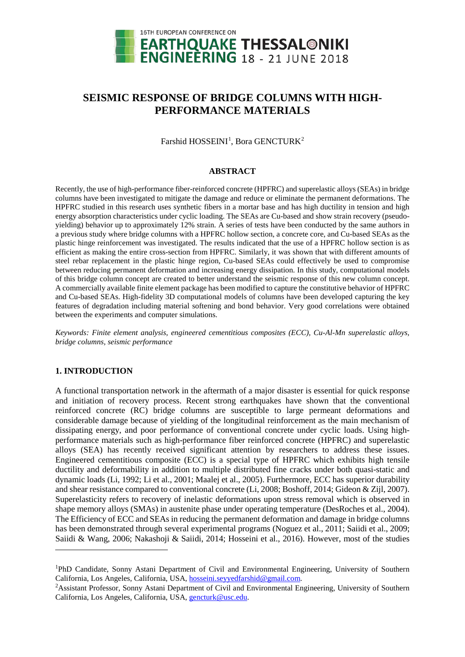

# **SEISMIC RESPONSE OF BRIDGE COLUMNS WITH HIGH-PERFORMANCE MATERIALS**

Farshid HOSSEINI<sup>[1](#page-0-0)</sup>, Bora GENCTURK<sup>[2](#page-0-1)</sup>

#### **ABSTRACT**

Recently, the use of high-performance fiber-reinforced concrete (HPFRC) and superelastic alloys (SEAs) in bridge columns have been investigated to mitigate the damage and reduce or eliminate the permanent deformations. The HPFRC studied in this research uses synthetic fibers in a mortar base and has high ductility in tension and high energy absorption characteristics under cyclic loading. The SEAs are Cu-based and show strain recovery (pseudoyielding) behavior up to approximately 12% strain. A series of tests have been conducted by the same authors in a previous study where bridge columns with a HPFRC hollow section, a concrete core, and Cu-based SEAs as the plastic hinge reinforcement was investigated. The results indicated that the use of a HPFRC hollow section is as efficient as making the entire cross-section from HPFRC. Similarly, it was shown that with different amounts of steel rebar replacement in the plastic hinge region, Cu-based SEAs could effectively be used to compromise between reducing permanent deformation and increasing energy dissipation. In this study, computational models of this bridge column concept are created to better understand the seismic response of this new column concept. A commercially available finite element package has been modified to capture the constitutive behavior of HPFRC and Cu-based SEAs. High-fidelity 3D computational models of columns have been developed capturing the key features of degradation including material softening and bond behavior. Very good correlations were obtained between the experiments and computer simulations.

*Keywords: Finite element analysis, engineered cementitious composites (ECC), Cu-Al-Mn superelastic alloys, bridge columns, seismic performance*

## **1. INTRODUCTION**

-

A functional transportation network in the aftermath of a major disaster is essential for quick response and initiation of recovery process. Recent strong earthquakes have shown that the conventional reinforced concrete (RC) bridge columns are susceptible to large permeant deformations and considerable damage because of yielding of the longitudinal reinforcement as the main mechanism of dissipating energy, and poor performance of conventional concrete under cyclic loads. Using highperformance materials such as high-performance fiber reinforced concrete (HPFRC) and superelastic alloys (SEA) has recently received significant attention by researchers to address these issues. Engineered cementitious composite (ECC) is a special type of HPFRC which exhibits high tensile ductility and deformability in addition to multiple distributed fine cracks under both quasi-static and dynamic loads (Li, 1992; Li et al., 2001; Maalej et al., 2005). Furthermore, ECC has superior durability and shear resistance compared to conventional concrete (Li, 2008; Boshoff, 2014; Gideon & Zijl, 2007). Superelasticity refers to recovery of inelastic deformations upon stress removal which is observed in shape memory alloys (SMAs) in austenite phase under operating temperature (DesRoches et al., 2004). The Efficiency of ECC and SEAs in reducing the permanent deformation and damage in bridge columns has been demonstrated through several experimental programs (Noguez et al., 2011; Saiidi et al., 2009; Saiidi & Wang, 2006; Nakashoji & Saiidi, 2014; Hosseini et al., 2016). However, most of the studies

<span id="page-0-0"></span><sup>&</sup>lt;sup>1</sup>PhD Candidate, Sonny Astani Department of Civil and Environmental Engineering, University of Southern California, Los Angeles, California, USA, [hosseini.seyyedfarshid@gmail.com.](mailto:hosseini.seyyedfarshid@gmail.com)

<span id="page-0-1"></span><sup>&</sup>lt;sup>2</sup> Assistant Professor, Sonny Astani Department of Civil and Environmental Engineering, University of Southern California, Los Angeles, California, USA, [gencturk@usc.edu.](mailto:gencturk@usc.edu)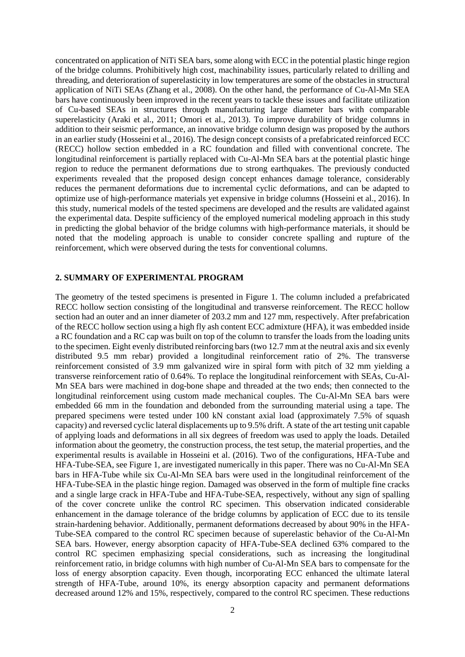concentrated on application of NiTi SEA bars, some along with ECC in the potential plastic hinge region of the bridge columns. Prohibitively high cost, machinability issues, particularly related to drilling and threading, and deterioration of superelasticity in low temperatures are some of the obstacles in structural application of NiTi SEAs (Zhang et al., 2008). On the other hand, the performance of Cu-Al-Mn SEA bars have continuously been improved in the recent years to tackle these issues and facilitate utilization of Cu-based SEAs in structures through manufacturing large diameter bars with comparable superelasticity (Araki et al., 2011; Omori et al., 2013). To improve durability of bridge columns in addition to their seismic performance, an innovative bridge column design was proposed by the authors in an earlier study (Hosseini et al., 2016). The design concept consists of a prefabricated reinforced ECC (RECC) hollow section embedded in a RC foundation and filled with conventional concrete. The longitudinal reinforcement is partially replaced with Cu-Al-Mn SEA bars at the potential plastic hinge region to reduce the permanent deformations due to strong earthquakes. The previously conducted experiments revealed that the proposed design concept enhances damage tolerance, considerably reduces the permanent deformations due to incremental cyclic deformations, and can be adapted to optimize use of high-performance materials yet expensive in bridge columns (Hosseini et al., 2016). In this study, numerical models of the tested specimens are developed and the results are validated against the experimental data. Despite sufficiency of the employed numerical modeling approach in this study in predicting the global behavior of the bridge columns with high-performance materials, it should be noted that the modeling approach is unable to consider concrete spalling and rupture of the reinforcement, which were observed during the tests for conventional columns.

## **2. SUMMARY OF EXPERIMENTAL PROGRAM**

The geometry of the tested specimens is presented in Figure 1. The column included a prefabricated RECC hollow section consisting of the longitudinal and transverse reinforcement. The RECC hollow section had an outer and an inner diameter of 203.2 mm and 127 mm, respectively. After prefabrication of the RECC hollow section using a high fly ash content ECC admixture (HFA), it was embedded inside a RC foundation and a RC cap was built on top of the column to transfer the loads from the loading units to the specimen. Eight evenly distributed reinforcing bars (two 12.7 mm at the neutral axis and six evenly distributed 9.5 mm rebar) provided a longitudinal reinforcement ratio of 2%. The transverse reinforcement consisted of 3.9 mm galvanized wire in spiral form with pitch of 32 mm yielding a transverse reinforcement ratio of 0.64%. To replace the longitudinal reinforcement with SEAs, Cu-Al-Mn SEA bars were machined in dog-bone shape and threaded at the two ends; then connected to the longitudinal reinforcement using custom made mechanical couples. The Cu-Al-Mn SEA bars were embedded 66 mm in the foundation and debonded from the surrounding material using a tape. The prepared specimens were tested under 100 kN constant axial load (approximately 7.5% of squash capacity) and reversed cyclic lateral displacements up to 9.5% drift. A state of the art testing unit capable of applying loads and deformations in all six degrees of freedom was used to apply the loads. Detailed information about the geometry, the construction process, the test setup, the material properties, and the experimental results is available in Hosseini et al. (2016). Two of the configurations, HFA-Tube and HFA-Tube-SEA, see Figure 1, are investigated numerically in this paper. There was no Cu-Al-Mn SEA bars in HFA-Tube while six Cu-Al-Mn SEA bars were used in the longitudinal reinforcement of the HFA-Tube-SEA in the plastic hinge region. Damaged was observed in the form of multiple fine cracks and a single large crack in HFA-Tube and HFA-Tube-SEA, respectively, without any sign of spalling of the cover concrete unlike the control RC specimen. This observation indicated considerable enhancement in the damage tolerance of the bridge columns by application of ECC due to its tensile strain-hardening behavior. Additionally, permanent deformations decreased by about 90% in the HFA-Tube-SEA compared to the control RC specimen because of superelastic behavior of the Cu-Al-Mn SEA bars. However, energy absorption capacity of HFA-Tube-SEA declined 63% compared to the control RC specimen emphasizing special considerations, such as increasing the longitudinal reinforcement ratio, in bridge columns with high number of Cu-Al-Mn SEA bars to compensate for the loss of energy absorption capacity. Even though, incorporating ECC enhanced the ultimate lateral strength of HFA-Tube, around 10%, its energy absorption capacity and permanent deformations decreased around 12% and 15%, respectively, compared to the control RC specimen. These reductions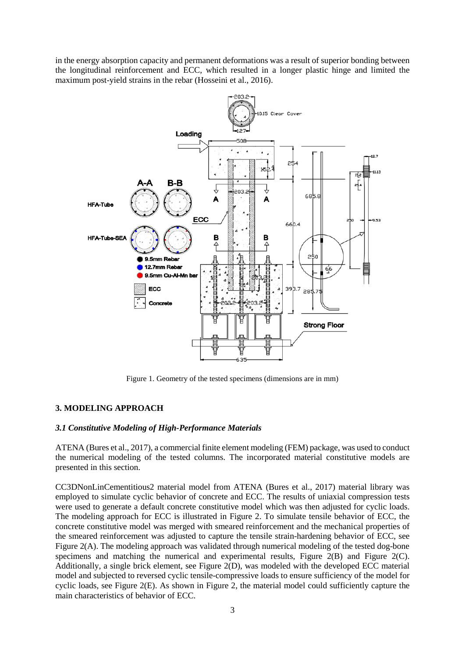in the energy absorption capacity and permanent deformations was a result of superior bonding between the longitudinal reinforcement and ECC, which resulted in a longer plastic hinge and limited the maximum post-yield strains in the rebar (Hosseini et al., 2016).



Figure 1. Geometry of the tested specimens (dimensions are in mm)

## **3. MODELING APPROACH**

## *3.1 Constitutive Modeling of High-Performance Materials*

ATENA (Bures et al., 2017), a commercial finite element modeling (FEM) package, was used to conduct the numerical modeling of the tested columns. The incorporated material constitutive models are presented in this section.

CC3DNonLinCementitious2 material model from ATENA (Bures et al., 2017) material library was employed to simulate cyclic behavior of concrete and ECC. The results of uniaxial compression tests were used to generate a default concrete constitutive model which was then adjusted for cyclic loads. The modeling approach for ECC is illustrated in Figure 2. To simulate tensile behavior of ECC, the concrete constitutive model was merged with smeared reinforcement and the mechanical properties of the smeared reinforcement was adjusted to capture the tensile strain-hardening behavior of ECC, see Figure 2(A). The modeling approach was validated through numerical modeling of the tested dog-bone specimens and matching the numerical and experimental results, Figure  $2(B)$  and Figure  $2(C)$ . Additionally, a single brick element, see Figure 2(D), was modeled with the developed ECC material model and subjected to reversed cyclic tensile-compressive loads to ensure sufficiency of the model for cyclic loads, see Figure 2(E). As shown in Figure 2, the material model could sufficiently capture the main characteristics of behavior of ECC.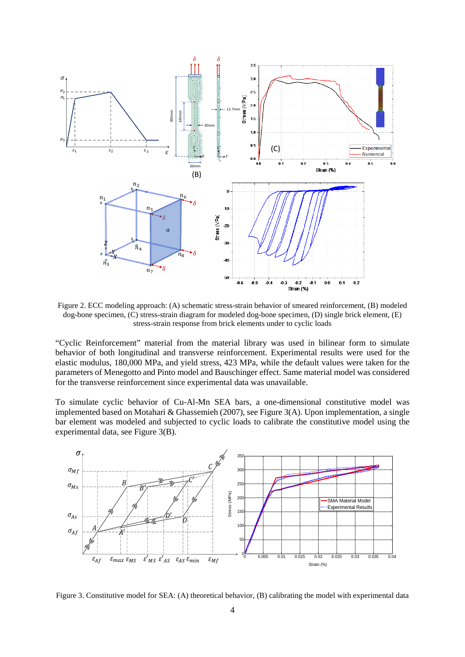

Figure 2. ECC modeling approach: (A) schematic stress-strain behavior of smeared reinforcement, (B) modeled dog-bone specimen, (C) stress-strain diagram for modeled dog-bone specimen, (D) single brick element, (E) stress-strain response from brick elements under to cyclic loads

"Cyclic Reinforcement" material from the material library was used in bilinear form to simulate behavior of both longitudinal and transverse reinforcement. Experimental results were used for the elastic modulus, 180,000 MPa, and yield stress, 423 MPa, while the default values were taken for the parameters of Menegotto and Pinto model and Bauschinger effect. Same material model was considered for the transverse reinforcement since experimental data was unavailable.

To simulate cyclic behavior of Cu-Al-Mn SEA bars, a one-dimensional constitutive model was implemented based on Motahari & Ghassemieh (2007), see Figure 3(A). Upon implementation, a single bar element was modeled and subjected to cyclic loads to calibrate the constitutive model using the experimental data, see Figure 3(B).



Figure 3. Constitutive model for SEA: (A) theoretical behavior, (B) calibrating the model with experimental data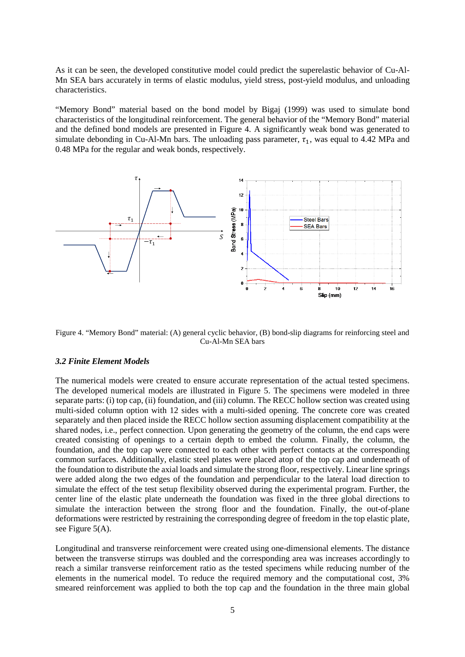As it can be seen, the developed constitutive model could predict the superelastic behavior of Cu-Al-Mn SEA bars accurately in terms of elastic modulus, yield stress, post-yield modulus, and unloading characteristics.

"Memory Bond" material based on the bond model by Bigaj (1999) was used to simulate bond characteristics of the longitudinal reinforcement. The general behavior of the "Memory Bond" material and the defined bond models are presented in Figure 4. A significantly weak bond was generated to simulate debonding in Cu-Al-Mn bars. The unloading pass parameter,  $\tau_1$ , was equal to 4.42 MPa and 0.48 MPa for the regular and weak bonds, respectively.



Figure 4. "Memory Bond" material: (A) general cyclic behavior, (B) bond-slip diagrams for reinforcing steel and Cu-Al-Mn SEA bars

#### *3.2 Finite Element Models*

The numerical models were created to ensure accurate representation of the actual tested specimens. The developed numerical models are illustrated in Figure 5. The specimens were modeled in three separate parts: (i) top cap, (ii) foundation, and (iii) column. The RECC hollow section was created using multi-sided column option with 12 sides with a multi-sided opening. The concrete core was created separately and then placed inside the RECC hollow section assuming displacement compatibility at the shared nodes, i.e., perfect connection. Upon generating the geometry of the column, the end caps were created consisting of openings to a certain depth to embed the column. Finally, the column, the foundation, and the top cap were connected to each other with perfect contacts at the corresponding common surfaces. Additionally, elastic steel plates were placed atop of the top cap and underneath of the foundation to distribute the axial loads and simulate the strong floor, respectively. Linear line springs were added along the two edges of the foundation and perpendicular to the lateral load direction to simulate the effect of the test setup flexibility observed during the experimental program. Further, the center line of the elastic plate underneath the foundation was fixed in the three global directions to simulate the interaction between the strong floor and the foundation. Finally, the out-of-plane deformations were restricted by restraining the corresponding degree of freedom in the top elastic plate, see Figure 5(A).

Longitudinal and transverse reinforcement were created using one-dimensional elements. The distance between the transverse stirrups was doubled and the corresponding area was increases accordingly to reach a similar transverse reinforcement ratio as the tested specimens while reducing number of the elements in the numerical model. To reduce the required memory and the computational cost, 3% smeared reinforcement was applied to both the top cap and the foundation in the three main global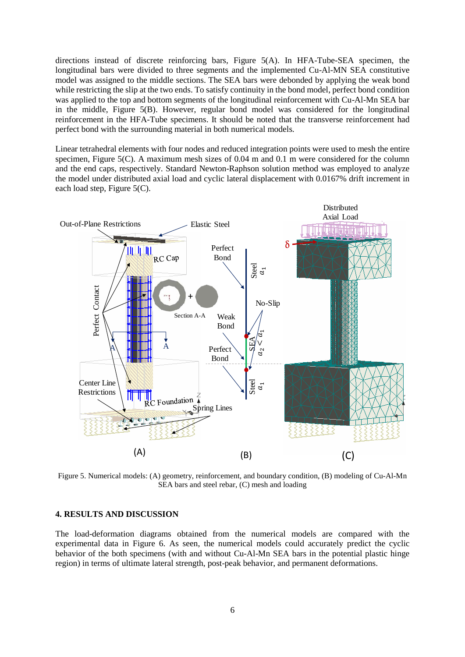directions instead of discrete reinforcing bars, Figure 5(A). In HFA-Tube-SEA specimen, the longitudinal bars were divided to three segments and the implemented Cu-Al-MN SEA constitutive model was assigned to the middle sections. The SEA bars were debonded by applying the weak bond while restricting the slip at the two ends. To satisfy continuity in the bond model, perfect bond condition was applied to the top and bottom segments of the longitudinal reinforcement with Cu-Al-Mn SEA bar in the middle, Figure 5(B). However, regular bond model was considered for the longitudinal reinforcement in the HFA-Tube specimens. It should be noted that the transverse reinforcement had perfect bond with the surrounding material in both numerical models.

Linear tetrahedral elements with four nodes and reduced integration points were used to mesh the entire specimen, Figure 5(C). A maximum mesh sizes of 0.04 m and 0.1 m were considered for the column and the end caps, respectively. Standard Newton-Raphson solution method was employed to analyze the model under distributed axial load and cyclic lateral displacement with 0.0167% drift increment in each load step, Figure 5(C).



Figure 5. Numerical models: (A) geometry, reinforcement, and boundary condition, (B) modeling of Cu-Al-Mn SEA bars and steel rebar, (C) mesh and loading

#### **4. RESULTS AND DISCUSSION**

The load-deformation diagrams obtained from the numerical models are compared with the experimental data in Figure 6. As seen, the numerical models could accurately predict the cyclic behavior of the both specimens (with and without Cu-Al-Mn SEA bars in the potential plastic hinge region) in terms of ultimate lateral strength, post-peak behavior, and permanent deformations.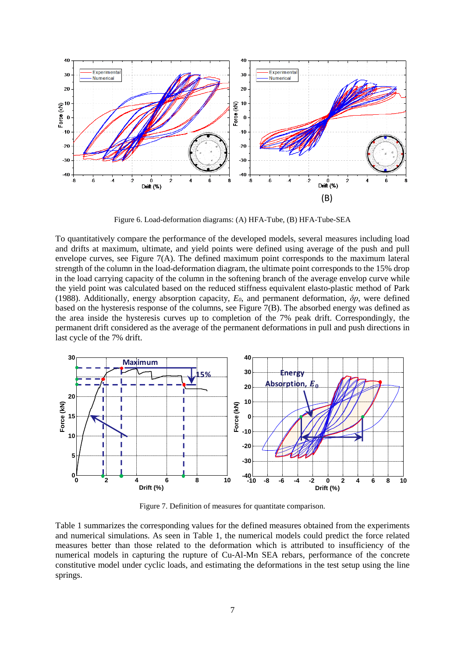

Figure 6. Load-deformation diagrams: (A) HFA-Tube, (B) HFA-Tube-SEA

To quantitatively compare the performance of the developed models, several measures including load and drifts at maximum, ultimate, and yield points were defined using average of the push and pull envelope curves, see Figure  $7(A)$ . The defined maximum point corresponds to the maximum lateral strength of the column in the load-deformation diagram, the ultimate point corresponds to the 15% drop in the load carrying capacity of the column in the softening branch of the average envelop curve while the yield point was calculated based on the reduced stiffness equivalent elasto-plastic method of Park (1988). Additionally, energy absorption capacity, *E0*, and permanent deformation, *δp*, were defined based on the hysteresis response of the columns, see Figure 7(B). The absorbed energy was defined as the area inside the hysteresis curves up to completion of the 7% peak drift. Correspondingly, the permanent drift considered as the average of the permanent deformations in pull and push directions in last cycle of the 7% drift.



Figure 7. Definition of measures for quantitate comparison.

Table 1 summarizes the corresponding values for the defined measures obtained from the experiments and numerical simulations. As seen in Table 1, the numerical models could predict the force related measures better than those related to the deformation which is attributed to insufficiency of the numerical models in capturing the rupture of Cu-Al-Mn SEA rebars, performance of the concrete constitutive model under cyclic loads, and estimating the deformations in the test setup using the line springs.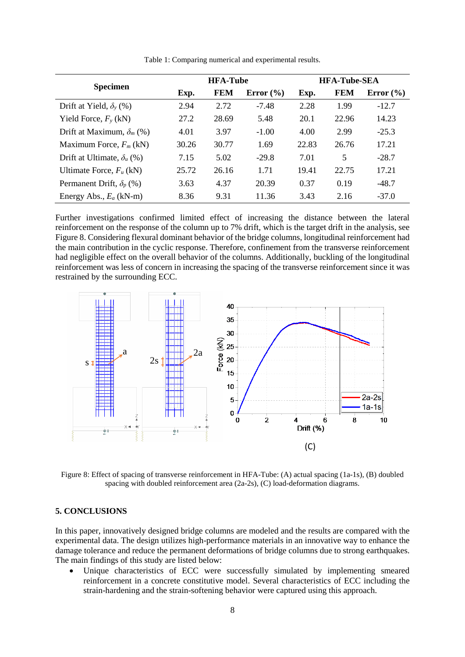| <b>Specimen</b>                    | <b>HFA-Tube</b> |            |               | <b>HFA-Tube-SEA</b> |            |               |
|------------------------------------|-----------------|------------|---------------|---------------------|------------|---------------|
|                                    | Exp.            | <b>FEM</b> | Error $(\% )$ | Exp.                | <b>FEM</b> | Error $(\% )$ |
| Drift at Yield, $\delta_{\nu}$ (%) | 2.94            | 2.72       | $-7.48$       | 2.28                | 1.99       | $-12.7$       |
| Yield Force, $F_v$ (kN)            | 27.2            | 28.69      | 5.48          | 20.1                | 22.96      | 14.23         |
| Drift at Maximum, $\delta_m$ (%)   | 4.01            | 3.97       | $-1.00$       | 4.00                | 2.99       | $-25.3$       |
| Maximum Force, $F_m$ (kN)          | 30.26           | 30.77      | 1.69          | 22.83               | 26.76      | 17.21         |
| Drift at Ultimate, $\delta_u$ (%)  | 7.15            | 5.02       | $-29.8$       | 7.01                | 5          | $-28.7$       |
| Ultimate Force, $F_u$ (kN)         | 25.72           | 26.16      | 1.71          | 19.41               | 22.75      | 17.21         |
| Permanent Drift, $\delta_p$ (%)    | 3.63            | 4.37       | 20.39         | 0.37                | 0.19       | $-48.7$       |
| Energy Abs., $E_a$ (kN-m)          | 8.36            | 9.31       | 11.36         | 3.43                | 2.16       | $-37.0$       |

Table 1: Comparing numerical and experimental results.

Further investigations confirmed limited effect of increasing the distance between the lateral reinforcement on the response of the column up to 7% drift, which is the target drift in the analysis, see [Figure 8.](#page-7-0) Considering flexural dominant behavior of the bridge columns, longitudinal reinforcement had the main contribution in the cyclic response. Therefore, confinement from the transverse reinforcement had negligible effect on the overall behavior of the columns. Additionally, buckling of the longitudinal reinforcement was less of concern in increasing the spacing of the transverse reinforcement since it was restrained by the surrounding ECC.



<span id="page-7-0"></span>Figure 8: Effect of spacing of transverse reinforcement in HFA-Tube: (A) actual spacing (1a-1s), (B) doubled spacing with doubled reinforcement area (2a-2s), (C) load-deformation diagrams.

#### **5. CONCLUSIONS**

In this paper, innovatively designed bridge columns are modeled and the results are compared with the experimental data. The design utilizes high-performance materials in an innovative way to enhance the damage tolerance and reduce the permanent deformations of bridge columns due to strong earthquakes. The main findings of this study are listed below:

• Unique characteristics of ECC were successfully simulated by implementing smeared reinforcement in a concrete constitutive model. Several characteristics of ECC including the strain-hardening and the strain-softening behavior were captured using this approach.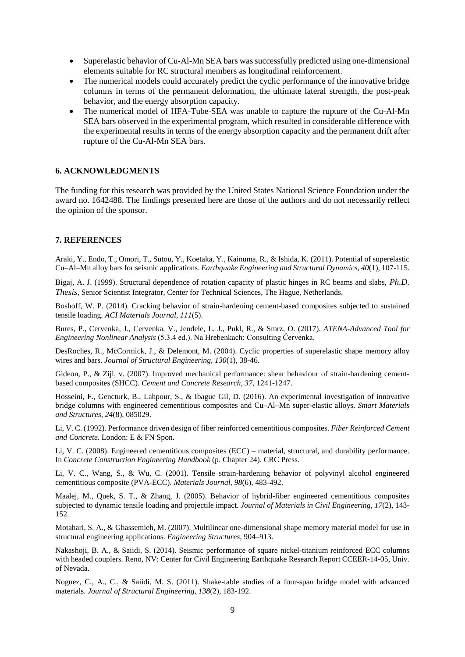- Superelastic behavior of Cu-Al-Mn SEA bars was successfully predicted using one-dimensional elements suitable for RC structural members as longitudinal reinforcement.
- The numerical models could accurately predict the cyclic performance of the innovative bridge columns in terms of the permanent deformation, the ultimate lateral strength, the post-peak behavior, and the energy absorption capacity.
- The numerical model of HFA-Tube-SEA was unable to capture the rupture of the Cu-Al-Mn SEA bars observed in the experimental program, which resulted in considerable difference with the experimental results in terms of the energy absorption capacity and the permanent drift after rupture of the Cu-Al-Mn SEA bars.

## **6. ACKNOWLEDGMENTS**

The funding for this research was provided by the United States National Science Foundation under the award no. 1642488. The findings presented here are those of the authors and do not necessarily reflect the opinion of the sponsor.

### **7. REFERENCES**

Araki, Y., Endo, T., Omori, T., Sutou, Y., Koetaka, Y., Kainuma, R., & Ishida, K. (2011). Potential of superelastic Cu–Al–Mn alloy bars for seismic applications. *Earthquake Engineering and Structural Dynamics, 40*(1), 107-115.

Bigaj, A. J. (1999). Structural dependence of rotation capacity of plastic hinges in RC beams and slabs, *Ph.D. Thesis,* Senior Scientist Integrator, Center for Technical Sciences, The Hague, Netherlands.

Boshoff, W. P. (2014). Cracking behavior of strain-hardening cement-based composites subjected to sustained tensile loading. *ACI Materials Journal, 111*(5).

Bures, P., Cervenka, J., Cervenka, V., Jendele, L. J., Pukl, R., & Smrz, O. (2017). *ATENA-Advanced Tool for Engineering Nonlinear Analysis* (5.3.4 ed.). Na Hrebenkach: Consulting Červenka.

DesRoches, R., McCormick, J., & Delemont, M. (2004). Cyclic properties of superelastic shape memory alloy wires and bars. *Journal of Structural Engineering, 130*(1), 38-46.

Gideon, P., & Zijl, v. (2007). Improved mechanical performance: shear behaviour of strain-hardening cementbased composites (SHCC). *Cement and Concrete Research, 37*, 1241-1247.

Hosseini, F., Gencturk, B., Lahpour, S., & Ibague Gil, D. (2016). An experimental investigation of innovative bridge columns with engineered cementitious composites and Cu–Al–Mn super-elastic alloys. *Smart Materials and Structures, 24*(8), 085029.

Li, V. C. (1992). Performance driven design of fiber reinforced cementitious composites. *Fiber Reinforced Cement and Concrete.* London: E & FN Spon.

Li, V. C. (2008). Engineered cementitious composites (ECC) – material, structural, and durability performance. In *Concrete Construction Engineering Handbook* (p. Chapter 24). CRC Press.

Li, V. C., Wang, S., & Wu, C. (2001). Tensile strain-hardening behavior of polyvinyl alcohol engineered cementitious composite (PVA-ECC). *Materials Journal, 98*(6), 483-492.

Maalej, M., Quek, S. T., & Zhang, J. (2005). Behavior of hybrid-fiber engineered cementitious composites subjected to dynamic tensile loading and projectile impact. *Journal of Materials in Civil Engineering, 17*(2), 143- 152.

Motahari, S. A., & Ghassemieh, M. (2007). Multilinear one-dimensional shape memory material model for use in structural engineering applications. *Engineering Structures*, 904–913.

Nakashoji, B. A., & Saiidi, S. (2014). Seismic performance of square nickel-titanium reinforced ECC columns with headed couplers. Reno, NV: Center for Civil Engineering Earthquake Research Report CCEER-14-05, Univ. of Nevada.

Noguez, C., A., C., & Saiidi, M. S. (2011). Shake-table studies of a four-span bridge model with advanced materials. *Journal of Structural Engineering, 138*(2), 183-192.